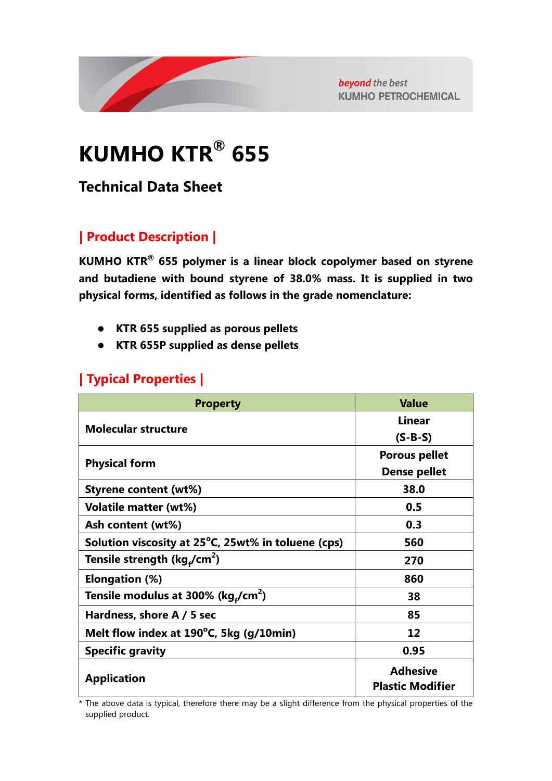

beyond the best **KUMHO PETROCHEMICAL** 

# **KUMHO KTR® 655**

## **Technical Data Sheet**

## **| Product Description |**

**KUMHO KTR® 655 polymer is a linear block copolymer based on styrene and butadiene with bound styrene of 38.0% mass. It is supplied in two physical forms, identified as follows in the grade nomenclature:**

- **KTR 655 supplied as porous pellets**
- **KTR 655P supplied as dense pellets**

#### **| Typical Properties |**

| <b>Property</b>                                      | <b>Value</b>                               |
|------------------------------------------------------|--------------------------------------------|
|                                                      | <b>Linear</b>                              |
| <b>Molecular structure</b>                           | $(S-B-S)$                                  |
| <b>Physical form</b>                                 | <b>Porous pellet</b>                       |
|                                                      | <b>Dense pellet</b>                        |
| <b>Styrene content (wt%)</b>                         | 38.0                                       |
| <b>Volatile matter (wt%)</b>                         | 0.5                                        |
| Ash content (wt%)                                    | 0.3                                        |
| Solution viscosity at 25°C, 25wt% in toluene (cps)   | 560                                        |
| Tensile strength (kg <sub>4</sub> /cm <sup>2</sup> ) | 270                                        |
| Elongation (%)                                       | 860                                        |
| Tensile modulus at 300% (kg,/cm <sup>2</sup> )       | 38                                         |
| Hardness, shore A / 5 sec                            | 85                                         |
| Melt flow index at 190°C, 5kg (g/10min)              | 12                                         |
| <b>Specific gravity</b>                              | 0.95                                       |
| <b>Application</b>                                   | <b>Adhesive</b><br><b>Plastic Modifier</b> |

\* The above data is typical, therefore there may be a slight difference from the physical properties of the supplied product.